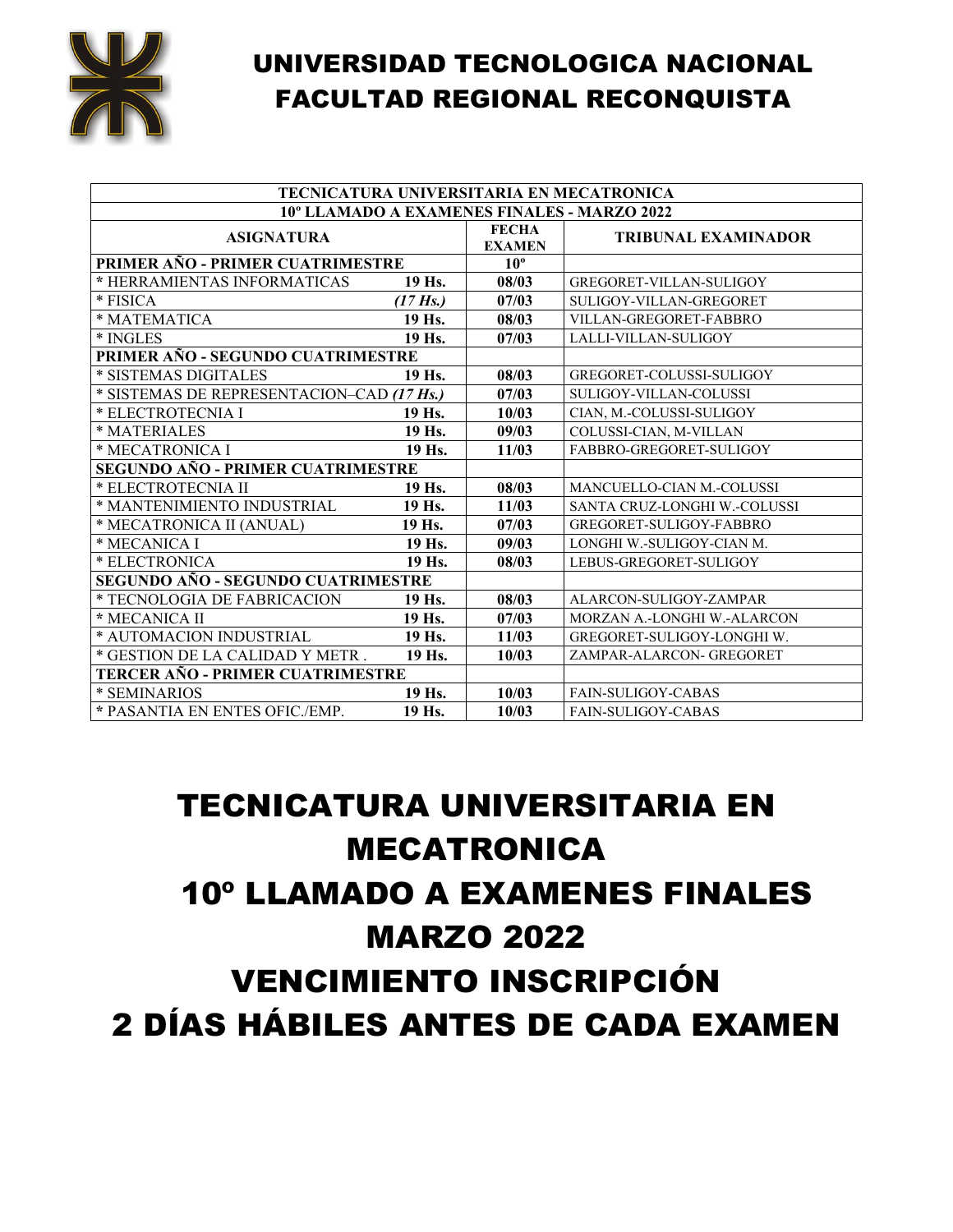

| TECNICATURA UNIVERSITARIA EN MECATRONICA    |                    |                               |                              |
|---------------------------------------------|--------------------|-------------------------------|------------------------------|
| 10° LLAMADO A EXAMENES FINALES - MARZO 2022 |                    |                               |                              |
| <b>ASIGNATURA</b>                           |                    | <b>FECHA</b><br><b>EXAMEN</b> | <b>TRIBUNAL EXAMINADOR</b>   |
| PRIMER AÑO - PRIMER CUATRIMESTRE            |                    | $10^{\circ}$                  |                              |
| * HERRAMIENTAS INFORMATICAS                 | 19 Hs.             | 08/03                         | GREGORET-VILLAN-SULIGOY      |
| * FISICA                                    | $(17 \text{ Hs.})$ | 07/03                         | SULIGOY-VILLAN-GREGORET      |
| * MATEMATICA                                | 19 Hs.             | 08/03                         | VILLAN-GREGORET-FABBRO       |
| * INGLES                                    | 19 Hs.             | 07/03                         | LALLI-VILLAN-SULIGOY         |
| PRIMER AÑO - SEGUNDO CUATRIMESTRE           |                    |                               |                              |
| * SISTEMAS DIGITALES                        | 19 Hs.             | 08/03                         | GREGORET-COLUSSI-SULIGOY     |
| * SISTEMAS DE REPRESENTACION–CAD (17 Hs.)   |                    | 07/03                         | SULIGOY-VILLAN-COLUSSI       |
| * ELECTROTECNIA I                           | 19 Hs.             | 10/03                         | CIAN, M.-COLUSSI-SULIGOY     |
| * MATERIALES                                | 19 Hs.             | 09/03                         | COLUSSI-CIAN, M-VILLAN       |
| * MECATRONICA I                             | 19 Hs.             | 11/03                         | FABBRO-GREGORET-SULIGOY      |
| SEGUNDO AÑO - PRIMER CUATRIMESTRE           |                    |                               |                              |
| * ELECTROTECNIA II                          | 19 Hs.             | 08/03                         | MANCUELLO-CIAN M.-COLUSSI    |
| * MANTENIMIENTO INDUSTRIAL                  | 19 Hs.             | 11/03                         | SANTA CRUZ-LONGHI W.-COLUSSI |
| * MECATRONICA II (ANUAL)                    | 19 Hs.             | 07/03                         | GREGORET-SULIGOY-FABBRO      |
| * MECANICA I                                | 19 Hs.             | 09/03                         | LONGHI W.-SULIGOY-CIAN M.    |
| * ELECTRONICA                               | 19 Hs.             | 08/03                         | LEBUS-GREGORET-SULIGOY       |
| SEGUNDO AÑO - SEGUNDO CUATRIMESTRE          |                    |                               |                              |
| * TECNOLOGIA DE FABRICACION                 | 19 Hs.             | 08/03                         | ALARCON-SULIGOY-ZAMPAR       |
| * MECANICA II                               | 19 Hs.             | 07/03                         | MORZAN A.-LONGHI W.-ALARCON  |
| * AUTOMACION INDUSTRIAL                     | 19 Hs.             | 11/03                         | GREGORET-SULIGOY-LONGHI W.   |
| * GESTION DE LA CALIDAD Y METR.             | 19 Hs.             | 10/03                         | ZAMPAR-ALARCON- GREGORET     |
| TERCER AÑO - PRIMER CUATRIMESTRE            |                    |                               |                              |
| * SEMINARIOS                                | 19 Hs.             | 10/03                         | <b>FAIN-SULIGOY-CABAS</b>    |
| * PASANTIA EN ENTES OFIC./EMP.              | 19 Hs.             | 10/03                         | <b>FAIN-SULIGOY-CABAS</b>    |

# TECNICATURA UNIVERSITARIA EN MECATRONICA 10º LLAMADO A EXAMENES FINALES MARZO 2022 VENCIMIENTO INSCRIPCIÓN 2 DÍAS HÁBILES ANTES DE CADA EXAMEN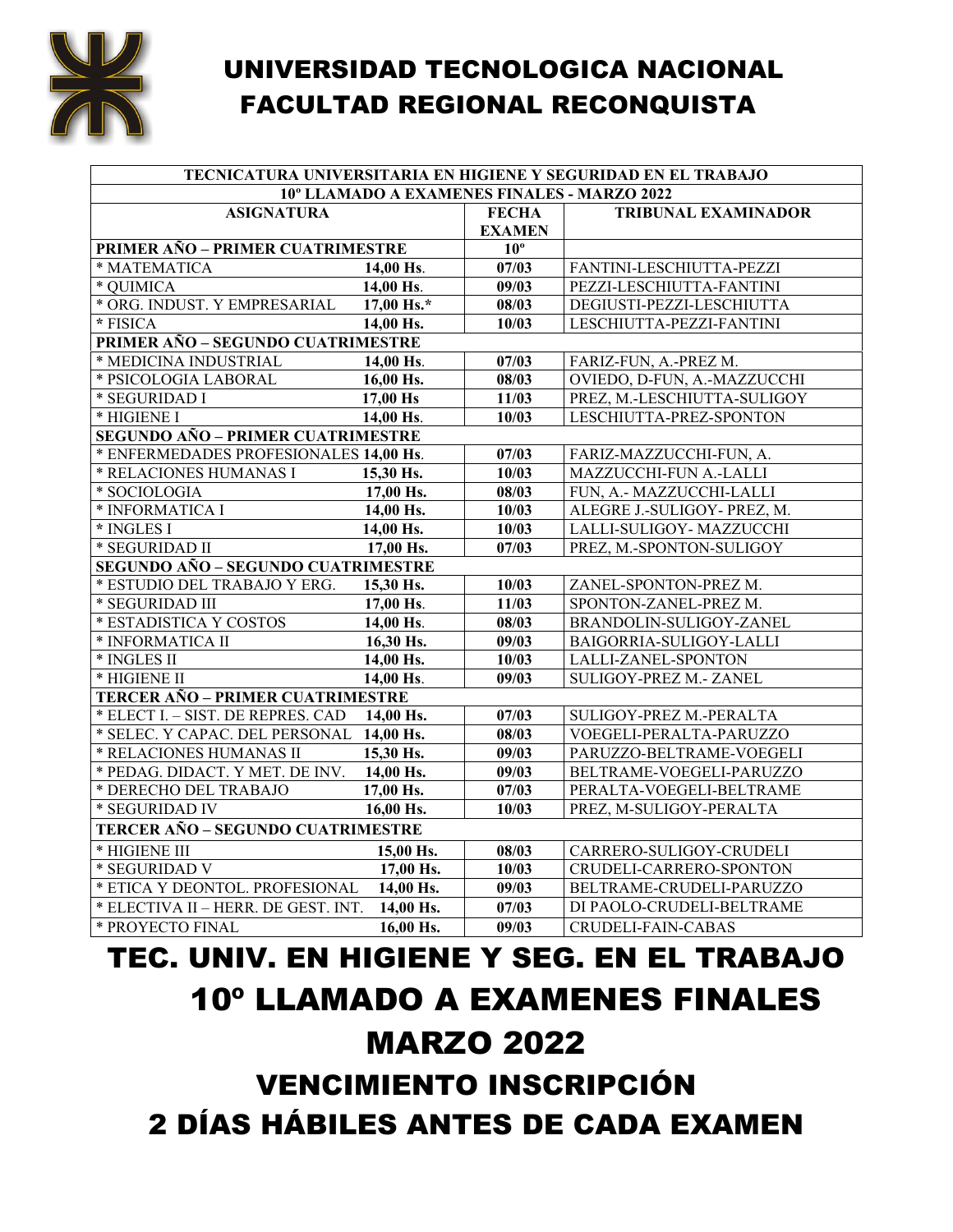

| TECNICATURA UNIVERSITARIA EN HIGIENE Y SEGURIDAD EN EL TRABAJO |             |               |                                             |  |  |
|----------------------------------------------------------------|-------------|---------------|---------------------------------------------|--|--|
|                                                                |             |               | 10° LLAMADO A EXAMENES FINALES - MARZO 2022 |  |  |
| <b>ASIGNATURA</b>                                              |             | <b>FECHA</b>  | <b>TRIBUNAL EXAMINADOR</b>                  |  |  |
|                                                                |             | <b>EXAMEN</b> |                                             |  |  |
| PRIMER AÑO - PRIMER CUATRIMESTRE                               |             | $10^{\circ}$  |                                             |  |  |
| * MATEMATICA                                                   | $14.00$ Hs. | 07/03         | FANTINI-LESCHIUTTA-PEZZI                    |  |  |
| * OUIMICA                                                      | 14,00 Hs.   | 09/03         | PEZZI-LESCHIUTTA-FANTINI                    |  |  |
| * ORG. INDUST. Y EMPRESARIAL                                   | 17,00 Hs.*  | 08/03         | DEGIUSTI-PEZZI-LESCHIUTTA                   |  |  |
| * FISICA                                                       | 14,00 Hs.   | 10/03         | LESCHIUTTA-PEZZI-FANTINI                    |  |  |
| PRIMER AÑO - SEGUNDO CUATRIMESTRE                              |             |               |                                             |  |  |
| * MEDICINA INDUSTRIAL                                          | 14,00 Hs.   | 07/03         | FARIZ-FUN, A.-PREZ M.                       |  |  |
| * PSICOLOGIA LABORAL                                           | 16,00 Hs.   | 08/03         | OVIEDO, D-FUN, A.-MAZZUCCHI                 |  |  |
| * SEGURIDAD I                                                  | 17,00 Hs    | 11/03         | PREZ, M.-LESCHIUTTA-SULIGOY                 |  |  |
| * HIGIENE I                                                    | 14,00 Hs.   | 10/03         | LESCHIUTTA-PREZ-SPONTON                     |  |  |
| <b>SEGUNDO AÑO - PRIMER CUATRIMESTRE</b>                       |             |               |                                             |  |  |
| * ENFERMEDADES PROFESIONALES 14,00 Hs.                         |             | 07/03         | FARIZ-MAZZUCCHI-FUN, A.                     |  |  |
| * RELACIONES HUMANAS I                                         | 15,30 Hs.   | 10/03         | MAZZUCCHI-FUN A.-LALLI                      |  |  |
| * SOCIOLOGIA                                                   | 17,00 Hs.   | 08/03         | FUN, A.- MAZZUCCHI-LALLI                    |  |  |
| * INFORMATICA I                                                | 14.00 Hs.   | 10/03         | ALEGRE J.-SULIGOY- PREZ, M.                 |  |  |
| * INGLES I                                                     | 14,00 Hs.   | 10/03         | LALLI-SULIGOY- MAZZUCCHI                    |  |  |
| * SEGURIDAD II                                                 | 17,00 Hs.   | 07/03         | PREZ, M.-SPONTON-SULIGOY                    |  |  |
| SEGUNDO AÑO - SEGUNDO CUATRIMESTRE                             |             |               |                                             |  |  |
| * ESTUDIO DEL TRABAJO Y ERG.                                   | 15,30 Hs.   | 10/03         | ZANEL-SPONTON-PREZ M.                       |  |  |
| * SEGURIDAD III                                                | 17,00 Hs.   | 11/03         | SPONTON-ZANEL-PREZ M.                       |  |  |
| * ESTADISTICA Y COSTOS                                         | 14,00 Hs.   | 08/03         | BRANDOLIN-SULIGOY-ZANEL                     |  |  |
| * INFORMATICA II                                               | 16,30 Hs.   | 09/03         | BAIGORRIA-SULIGOY-LALLI                     |  |  |
| * INGLES II                                                    | 14,00 Hs.   | 10/03         | LALLI-ZANEL-SPONTON                         |  |  |
| * HIGIENE II                                                   | 14,00 Hs.   | 09/03         | SULIGOY-PREZ M.- ZANEL                      |  |  |
| TERCER AÑO - PRIMER CUATRIMESTRE                               |             |               |                                             |  |  |
| * ELECT I. - SIST. DE REPRES. CAD                              | 14.00 Hs.   | 07/03         | SULIGOY-PREZ M.-PERALTA                     |  |  |
| * SELEC. Y CAPAC. DEL PERSONAL 14,00 Hs.                       |             | 08/03         | VOEGELI-PERALTA-PARUZZO                     |  |  |
| * RELACIONES HUMANAS II                                        | 15,30 Hs.   | 09/03         | PARUZZO-BELTRAME-VOEGELI                    |  |  |
| * PEDAG. DIDACT. Y MET. DE INV.                                | 14,00 Hs.   | 09/03         | BELTRAME-VOEGELI-PARUZZO                    |  |  |
| * DERECHO DEL TRABAJO                                          | 17,00 Hs.   | 07/03         | PERALTA-VOEGELI-BELTRAME                    |  |  |
| * SEGURIDAD IV                                                 | 16,00 Hs.   | 10/03         | PREZ, M-SULIGOY-PERALTA                     |  |  |
| TERCER AÑO - SEGUNDO CUATRIMESTRE                              |             |               |                                             |  |  |
| * HIGIENE III                                                  | 15,00 Hs.   | 08/03         | CARRERO-SULIGOY-CRUDELI                     |  |  |
| * SEGURIDAD V                                                  | 17,00 Hs.   | 10/03         | CRUDELI-CARRERO-SPONTON                     |  |  |
| * ETICA Y DEONTOL. PROFESIONAL                                 | 14,00 Hs.   | 09/03         | BELTRAME-CRUDELI-PARUZZO                    |  |  |
| * ELECTIVA II - HERR. DE GEST. INT.                            | 14,00 Hs.   | 07/03         | DI PAOLO-CRUDELI-BELTRAME                   |  |  |
| * PROYECTO FINAL                                               | 16,00 Hs.   | 09/03         | CRUDELI-FAIN-CABAS                          |  |  |

# TEC. UNIV. EN HIGIENE Y SEG. EN EL TRABAJO 10º LLAMADO A EXAMENES FINALES MARZO 2022

VENCIMIENTO INSCRIPCIÓN 2 DÍAS HÁBILES ANTES DE CADA EXAMEN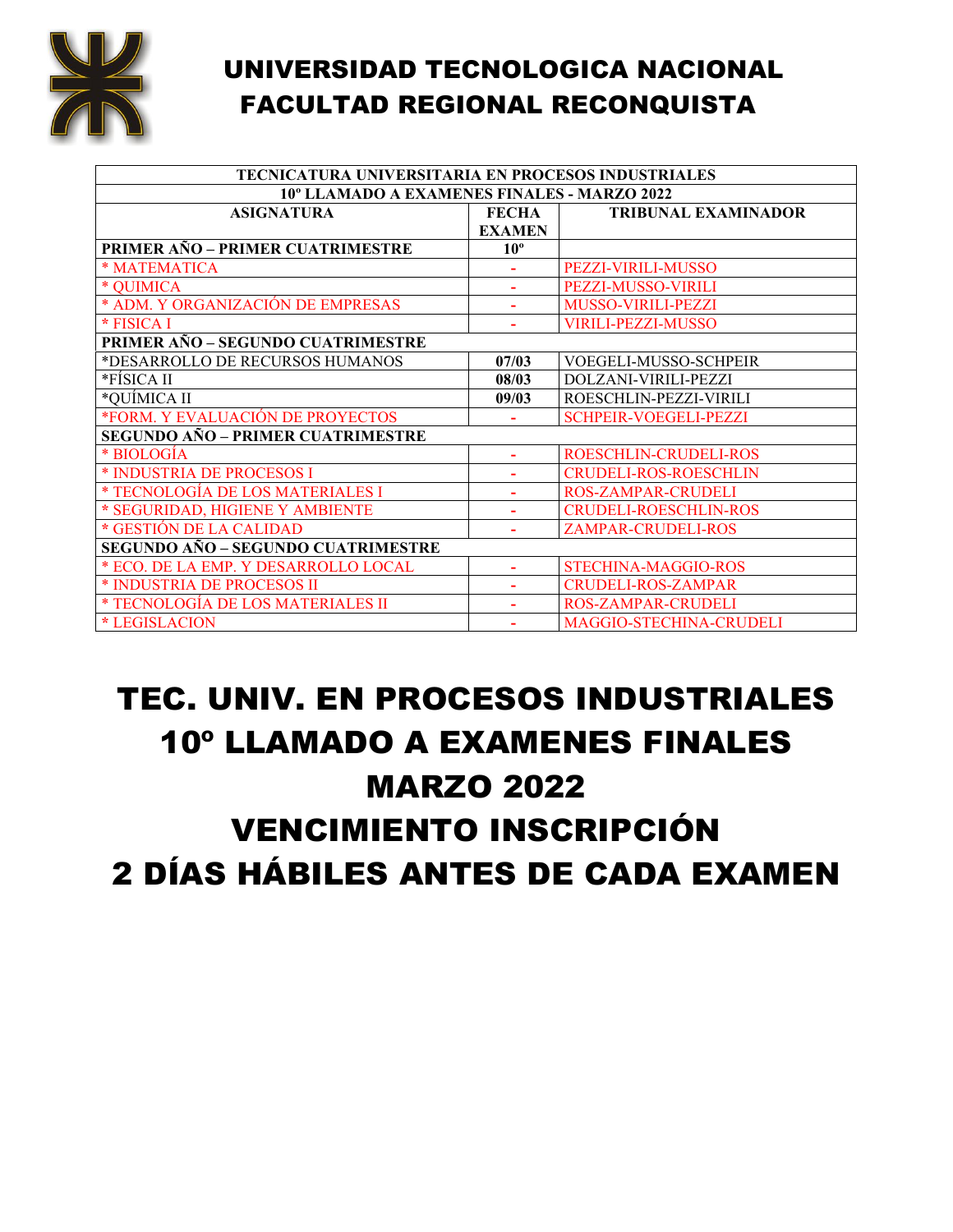

| <b>TECNICATURA UNIVERSITARIA EN PROCESOS INDUSTRIALES</b> |                          |                              |  |
|-----------------------------------------------------------|--------------------------|------------------------------|--|
| 10° LLAMADO A EXAMENES FINALES - MARZO 2022               |                          |                              |  |
| <b>ASIGNATURA</b>                                         | FECHA                    | <b>TRIBUNAL EXAMINADOR</b>   |  |
|                                                           | <b>EXAMEN</b>            |                              |  |
| PRIMER AÑO – PRIMER CUATRIMESTRE                          | $10^{\circ}$             |                              |  |
| * MATEMATICA                                              |                          | PEZZI-VIRILI-MUSSO           |  |
| * QUIMICA                                                 |                          | <b>PEZZI-MUSSO-VIRILI</b>    |  |
| * ADM. Y ORGANIZACIÓN DE EMPRESAS                         |                          | MUSSO-VIRILI-PEZZI           |  |
| * FISICA I                                                |                          | <b>VIRILI-PEZZI-MUSSO</b>    |  |
| PRIMER AÑO - SEGUNDO CUATRIMESTRE                         |                          |                              |  |
| *DESARROLLO DE RECURSOS HUMANOS                           | 07/03                    | VOEGELI-MUSSO-SCHPEIR        |  |
| *FÍSICA II                                                | 08/03                    | DOLZANI-VIRILI-PEZZI         |  |
| *QUÍMICA II                                               | 09/03                    | ROESCHLIN-PEZZI-VIRILI       |  |
| *FORM. Y EVALUACIÓN DE PROYECTOS                          |                          | <b>SCHPEIR-VOEGELI-PEZZI</b> |  |
| SEGUNDO AÑO – PRIMER CUATRIMESTRE                         |                          |                              |  |
| * BIOLOGIA                                                | $\overline{\phantom{a}}$ | ROESCHLIN-CRUDELI-ROS        |  |
| * INDUSTRIA DE PROCESOS I                                 |                          | <b>CRUDELI-ROS-ROESCHLIN</b> |  |
| * TECNOLOGÍA DE LOS MATERIALES I                          |                          | <b>ROS-ZAMPAR-CRUDELI</b>    |  |
| * SEGURIDAD, HIGIENE Y AMBIENTE                           | ٠                        | <b>CRUDELI-ROESCHLIN-ROS</b> |  |
| * GESTIÓN DE LA CALIDAD                                   |                          | <b>ZAMPAR-CRUDELI-ROS</b>    |  |
| SEGUNDO AÑO – SEGUNDO CUATRIMESTRE                        |                          |                              |  |
| * ECO. DE LA EMP. Y DESARROLLO LOCAL                      | $\blacksquare$           | <b>STECHINA-MAGGIO-ROS</b>   |  |
| * INDUSTRIA DE PROCESOS II                                |                          | <b>CRUDELI-ROS-ZAMPAR</b>    |  |
| * TECNOLOGÍA DE LOS MATERIALES II                         |                          | <b>ROS-ZAMPAR-CRUDELI</b>    |  |
| * LEGISLACION                                             |                          | MAGGIO-STECHINA-CRUDELI      |  |

### TEC. UNIV. EN PROCESOS INDUSTRIALES 10º LLAMADO A EXAMENES FINALES MARZO 2022 VENCIMIENTO INSCRIPCIÓN 2 DÍAS HÁBILES ANTES DE CADA EXAMEN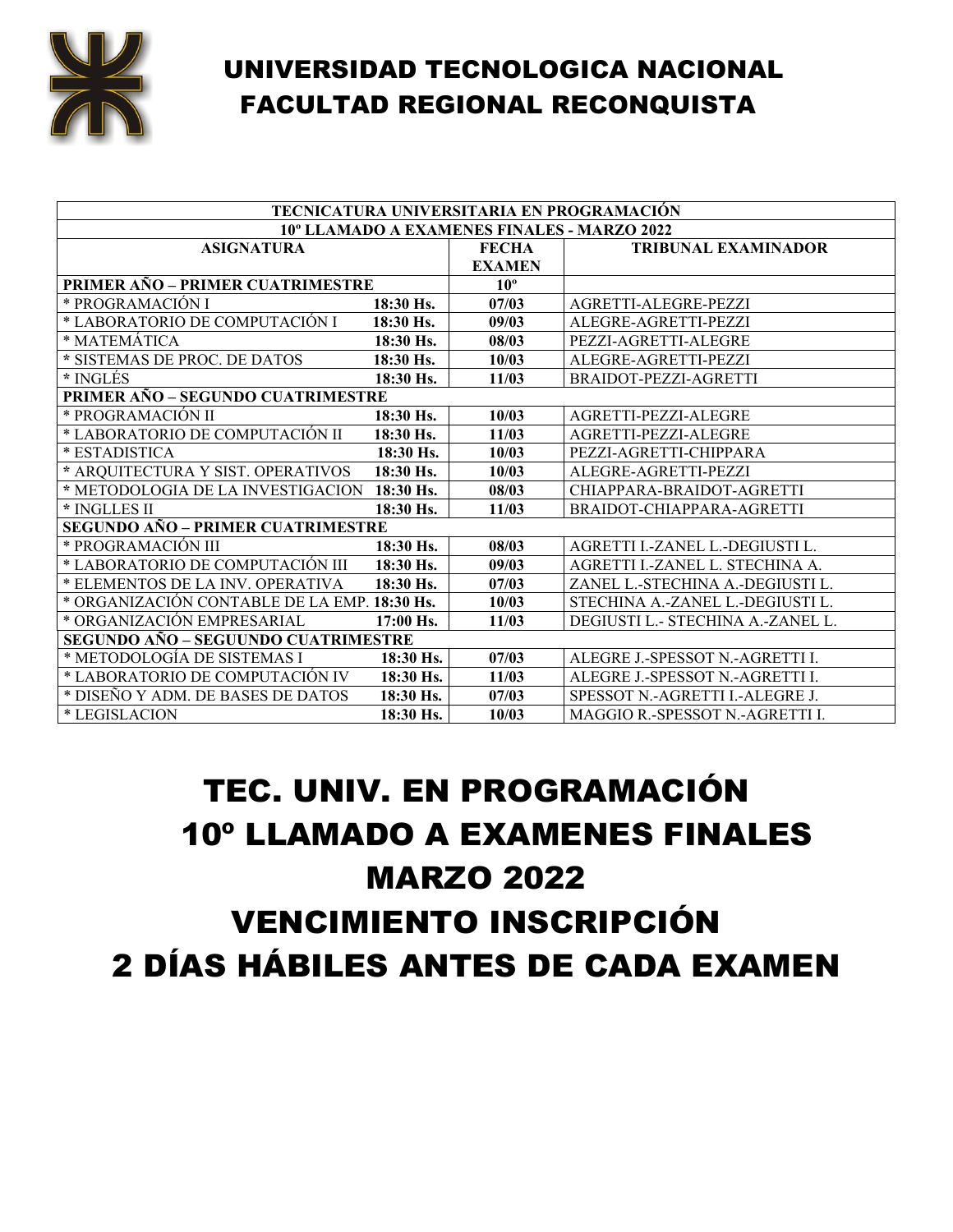

| TECNICATURA UNIVERSITARIA EN PROGRAMACIÓN    |             |               |                                        |
|----------------------------------------------|-------------|---------------|----------------------------------------|
| 10° LLAMADO A EXAMENES FINALES - MARZO 2022  |             |               |                                        |
| <b>ASIGNATURA</b>                            |             | <b>FECHA</b>  | <b>TRIBUNAL EXAMINADOR</b>             |
|                                              |             | <b>EXAMEN</b> |                                        |
| <b>PRIMER AÑO – PRIMER CUATRIMESTRE</b>      |             | $10^{\circ}$  |                                        |
| * PROGRAMACIÓN I                             | 18:30 Hs.   | 07/03         | AGRETTI-ALEGRE-PEZZI                   |
| * LABORATORIO DE COMPUTACIÓN I               | 18:30 Hs.   | 09/03         | ALEGRE-AGRETTI-PEZZI                   |
| * MATEMÁTICA                                 | 18:30 Hs.   | 08/03         | PEZZI-AGRETTI-ALEGRE                   |
| * SISTEMAS DE PROC. DE DATOS                 | 18:30 Hs.   | 10/03         | ALEGRE-AGRETTI-PEZZI                   |
| * INGLÉS                                     | $18:30$ Hs. | 11/03         | BRAIDOT-PEZZI-AGRETTI                  |
| PRIMER AÑO - SEGUNDO CUATRIMESTRE            |             |               |                                        |
| * PROGRAMACIÓN II                            | 18:30 Hs.   | 10/03         | AGRETTI-PEZZI-ALEGRE                   |
| * LABORATORIO DE COMPUTACIÓN II              | 18:30 Hs.   | 11/03         | AGRETTI-PEZZI-ALEGRE                   |
| * ESTADISTICA                                | $18:30$ Hs. | 10/03         | PEZZI-AGRETTI-CHIPPARA                 |
| * ARQUITECTURA Y SIST. OPERATIVOS            | 18:30 Hs.   | 10/03         | ALEGRE-AGRETTI-PEZZI                   |
| * METODOLOGIA DE LA INVESTIGACION 18:30 Hs.  |             | 08/03         | CHIAPPARA-BRAIDOT-AGRETTI              |
| * INGLLES II                                 | $18:30$ Hs. | 11/03         | BRAIDOT-CHIAPPARA-AGRETTI              |
| <b>SEGUNDO AÑO – PRIMER CUATRIMESTRE</b>     |             |               |                                        |
| * PROGRAMACIÓN III                           | 18:30 Hs.   | 08/03         | AGRETTI I.-ZANEL L.-DEGIUSTI L.        |
| * LABORATORIO DE COMPUTACIÓN III             | 18:30 Hs.   | 09/03         | AGRETTI I.-ZANEL L. STECHINA A.        |
| * ELEMENTOS DE LA INV. OPERATIVA             | $18:30$ Hs. | 07/03         | ZANEL L.-STECHINA A.-DEGIUSTI L.       |
| * ORGANIZACIÓN CONTABLE DE LA EMP. 18:30 Hs. |             | 10/03         | STECHINA A.-ZANEL L.-DEGIUSTI L.       |
| * ORGANIZACIÓN EMPRESARIAL                   | $17:00$ Hs. | 11/03         | DEGIUSTI L.- STECHINA A.-ZANEL L.      |
| SEGUNDO AÑO - SEGUUNDO CUATRIMESTRE          |             |               |                                        |
| * METODOLOGÍA DE SISTEMAS I                  | 18:30 Hs.   | 07/03         | ALEGRE J.-SPESSOT N.-AGRETTI I.        |
| * LABORATORIO DE COMPUTACIÓN IV              | 18:30 Hs.   | 11/03         | ALEGRE J.-SPESSOT N.-AGRETTI I.        |
| * DISEÑO Y ADM. DE BASES DE DATOS            | 18:30 Hs.   | 07/03         | SPESSOT N.-AGRETTI I.-ALEGRE J.        |
| * LEGISLACION                                | 18:30 Hs.   | 10/03         | <b>MAGGIO R.-SPESSOT N.-AGRETTI L.</b> |

# TEC. UNIV. EN PROGRAMACIÓN 10º LLAMADO A EXAMENES FINALES MARZO 2022 VENCIMIENTO INSCRIPCIÓN 2 DÍAS HÁBILES ANTES DE CADA EXAMEN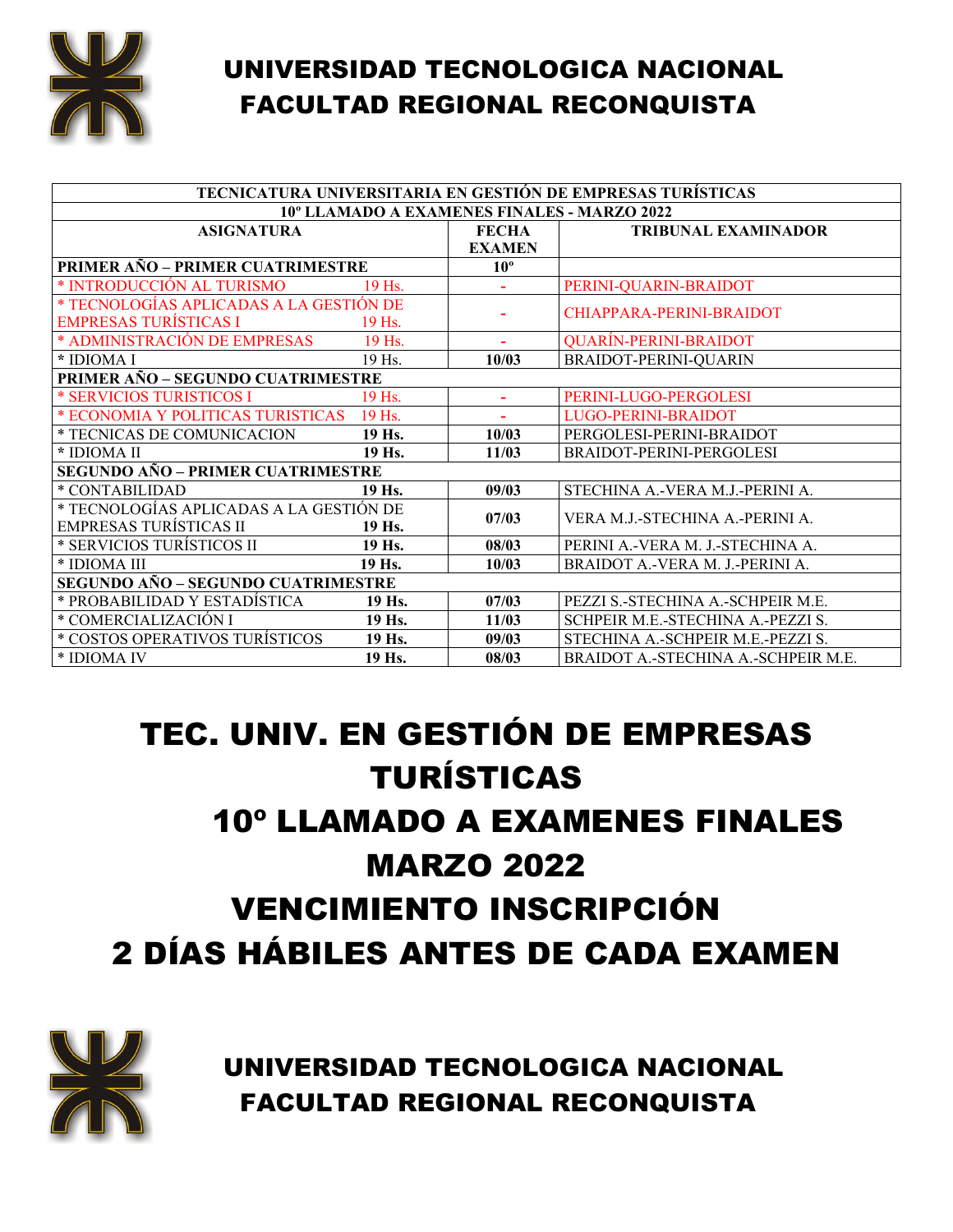

| TECNICATURA UNIVERSITARIA EN GESTIÓN DE EMPRESAS TURÍSTICAS |        |                |                                     |
|-------------------------------------------------------------|--------|----------------|-------------------------------------|
| 10° LLAMADO A EXAMENES FINALES - MARZO 2022                 |        |                |                                     |
| <b>ASIGNATURA</b>                                           |        | <b>FECHA</b>   | <b>TRIBUNAL EXAMINADOR</b>          |
|                                                             |        | <b>EXAMEN</b>  |                                     |
| PRIMER AÑO - PRIMER CUATRIMESTRE                            |        | $10^{\circ}$   |                                     |
| * INTRODUCCIÓN AL TURISMO                                   | 19 Hs. |                | PERINI-QUARIN-BRAIDOT               |
| * TECNOLOGÍAS APLICADAS A LA GESTIÓN DE                     |        |                | CHIAPPARA-PERINI-BRAIDOT            |
| <b>EMPRESAS TURÍSTICAS I</b>                                | 19 Hs. |                |                                     |
| * ADMINISTRACIÓN DE EMPRESAS                                | 19 Hs. | $\sim$         | <b>QUARÍN-PERINI-BRAIDOT</b>        |
| * IDIOMA I                                                  | 19 Hs. | 10/03          | BRAIDOT-PERINI-QUARIN               |
| PRIMER AÑO - SEGUNDO CUATRIMESTRE                           |        |                |                                     |
| * SERVICIOS TURISTICOS I                                    | 19 Hs. | $\blacksquare$ | PERINI-LUGO-PERGOLESI               |
| * ECONOMIA Y POLITICAS TURISTICAS                           | 19 Hs. |                | LUGO-PERINI-BRAIDOT                 |
| * TECNICAS DE COMUNICACION                                  | 19 Hs. | 10/03          | PERGOLESI-PERINI-BRAIDOT            |
| * IDIOMA II                                                 | 19 Hs. | 11/03          | BRAIDOT-PERINI-PERGOLESI            |
| <b>SEGUNDO AÑO - PRIMER CUATRIMESTRE</b>                    |        |                |                                     |
| * CONTABILIDAD                                              | 19 Hs. | 09/03          | STECHINA A.-VERA M.J.-PERINI A.     |
| * TECNOLOGÍAS APLICADAS A LA GESTIÓN DE                     |        | 07/03          | VERA M.J.-STECHINA A.-PERINI A.     |
| <b>EMPRESAS TURÍSTICAS II</b>                               | 19 Hs. |                |                                     |
| * SERVICIOS TURÍSTICOS II                                   | 19 Hs. | 08/03          | PERINI A.-VERA M. J.-STECHINA A.    |
| * IDIOMA III                                                | 19 Hs. | 10/03          | BRAIDOT A.-VERA M. J.-PERINI A.     |
| <b>SEGUNDO AÑO – SEGUNDO CUATRIMESTRE</b>                   |        |                |                                     |
| * PROBABILIDAD Y ESTADÍSTICA                                | 19 Hs. | 07/03          | PEZZI S.-STECHINA A.-SCHPEIR M.E.   |
| * COMERCIALIZACIÓN I                                        | 19 Hs. | 11/03          | SCHPEIR M.E.-STECHINA A.-PEZZI S.   |
| * COSTOS OPERATIVOS TURÍSTICOS                              | 19 Hs. | 09/03          | STECHINA A.-SCHPEIR M.E.-PEZZI S.   |
| * IDIOMA IV                                                 | 19 Hs. | 08/03          | BRAIDOT A.-STECHINA A.-SCHPEIR M.E. |

# TEC. UNIV. EN GESTIÓN DE EMPRESAS TURÍSTICAS 10º LLAMADO A EXAMENES FINALES MARZO 2022 VENCIMIENTO INSCRIPCIÓN 2 DÍAS HÁBILES ANTES DE CADA EXAMEN



UNIVERSIDAD TECNOLOGICA NACIONAL FACULTAD REGIONAL RECONQUISTA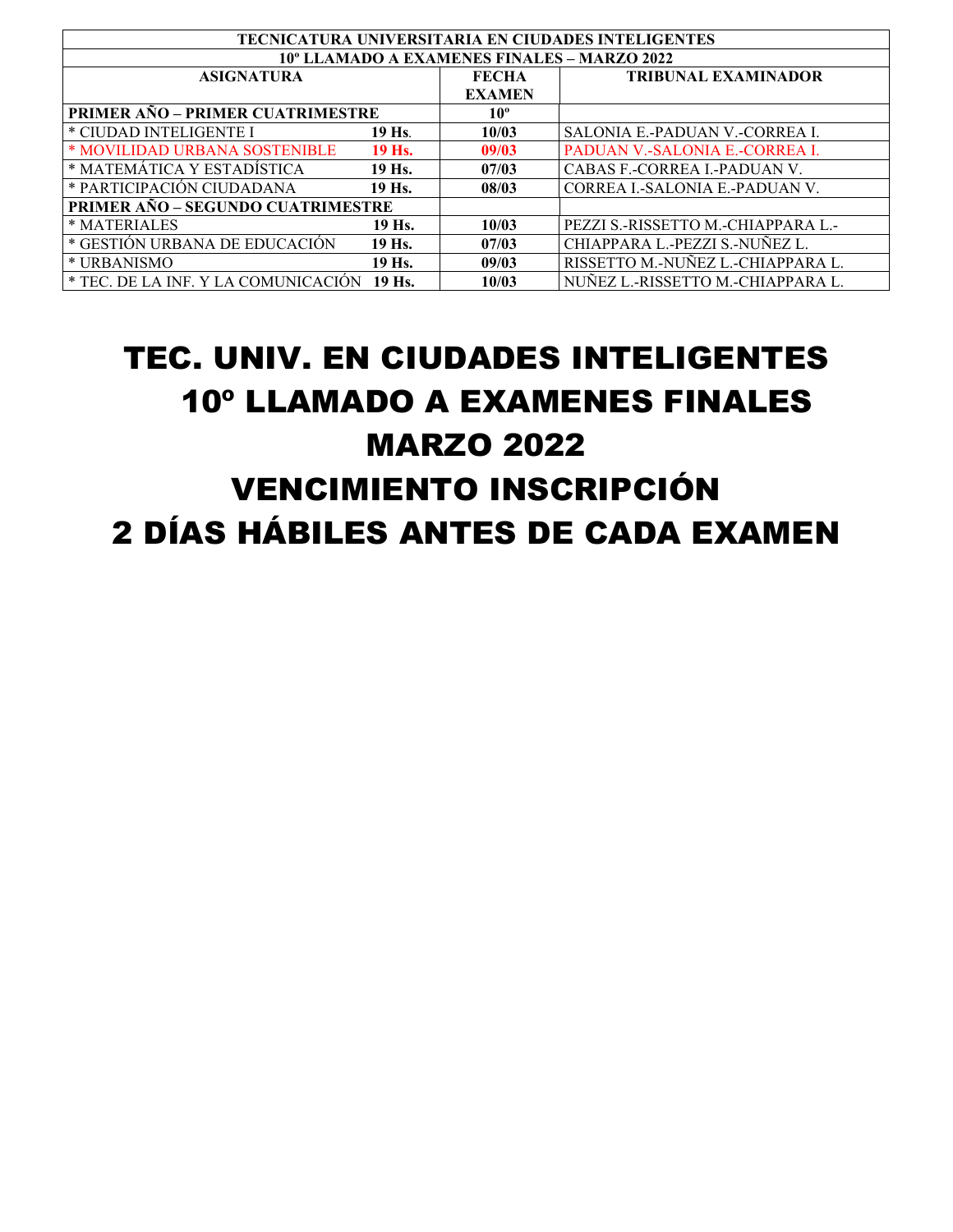| <b>TECNICATURA UNIVERSITARIA EN CIUDADES INTELIGENTES</b> |        |               |                                    |
|-----------------------------------------------------------|--------|---------------|------------------------------------|
| 10° LLAMADO A EXAMENES FINALES – MARZO 2022               |        |               |                                    |
| <b>ASIGNATURA</b>                                         |        | <b>FECHA</b>  | <b>TRIBUNAL EXAMINADOR</b>         |
|                                                           |        | <b>EXAMEN</b> |                                    |
| <b>PRIMER AÑO – PRIMER CUATRIMESTRE</b>                   |        | $10^{\circ}$  |                                    |
| * CIUDAD INTELIGENTE I                                    | 19 Hs. | 10/03         | SALONIA E.-PADUAN V.-CORREA L.     |
| * MOVILIDAD URBANA SOSTENIBLE                             | 19 Hs. | 09/03         | PADUAN V.-SALONIA E.-CORREA I.     |
| * MATEMÁTICA Y ESTADÍSTICA                                | 19 Hs. | 07/03         | CABAS F.-CORREA I.-PADUAN V.       |
| * PARTICIPACIÓN CIUDADANA                                 | 19 Hs. | 08/03         | CORREA L-SALONIA E.-PADUAN V.      |
| <b>PRIMER AÑO – SEGUNDO CUATRIMESTRE</b>                  |        |               |                                    |
| * MATERIALES                                              | 19 Hs. | 10/03         | PEZZI S.-RISSETTO M.-CHIAPPARA L.- |
| * GESTION URBANA DE EDUCACIÓN                             | 19 Hs. | 07/03         | CHIAPPARA L.-PEZZI S.-NUÑEZ L.     |
| * URBANISMO                                               | 19 Hs. | 09/03         | RISSETTO M.-NUÑEZ L.-CHIAPPARA L.  |
| * TEC. DE LA INF. Y LA COMUNICACIÓN                       | 19 Hs. | 10/03         | NUÑEZ L.-RISSETTO M.-CHIAPPARA L.  |

# TEC. UNIV. EN CIUDADES INTELIGENTES 10º LLAMADO A EXAMENES FINALES MARZO 2022 VENCIMIENTO INSCRIPCIÓN 2 DÍAS HÁBILES ANTES DE CADA EXAMEN